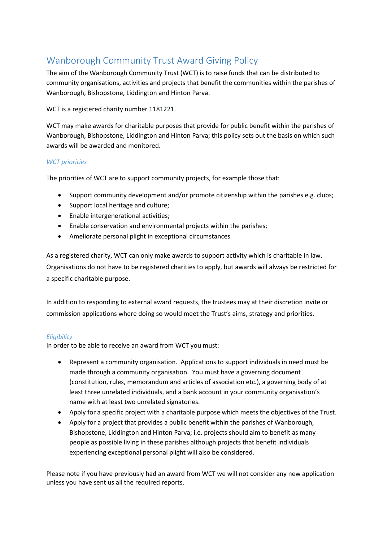# Wanborough Community Trust Award Giving Policy

The aim of the Wanborough Community Trust (WCT) is to raise funds that can be distributed to community organisations, activities and projects that benefit the communities within the parishes of Wanborough, Bishopstone, Liddington and Hinton Parva.

## WCT is a registered charity number 1181221.

WCT may make awards for charitable purposes that provide for public benefit within the parishes of Wanborough, Bishopstone, Liddington and Hinton Parva; this policy sets out the basis on which such awards will be awarded and monitored.

## *WCT priorities*

The priorities of WCT are to support community projects, for example those that:

- Support community development and/or promote citizenship within the parishes e.g. clubs;
- Support local heritage and culture;
- Enable intergenerational activities;
- Enable conservation and environmental projects within the parishes;
- Ameliorate personal plight in exceptional circumstances

As a registered charity, WCT can only make awards to support activity which is charitable in law. Organisations do not have to be registered charities to apply, but awards will always be restricted for a specific charitable purpose.

In addition to responding to external award requests, the trustees may at their discretion invite or commission applications where doing so would meet the Trust's aims, strategy and priorities.

## *Eligibility*

In order to be able to receive an award from WCT you must:

- Represent a community organisation. Applications to support individuals in need must be made through a community organisation. You must have a governing document (constitution, rules, memorandum and articles of association etc.), a governing body of at least three unrelated individuals, and a bank account in your community organisation's name with at least two unrelated signatories.
- Apply for a specific project with a charitable purpose which meets the objectives of the Trust.
- Apply for a project that provides a public benefit within the parishes of Wanborough, Bishopstone, Liddington and Hinton Parva; i.e. projects should aim to benefit as many people as possible living in these parishes although projects that benefit individuals experiencing exceptional personal plight will also be considered.

Please note if you have previously had an award from WCT we will not consider any new application unless you have sent us all the required reports.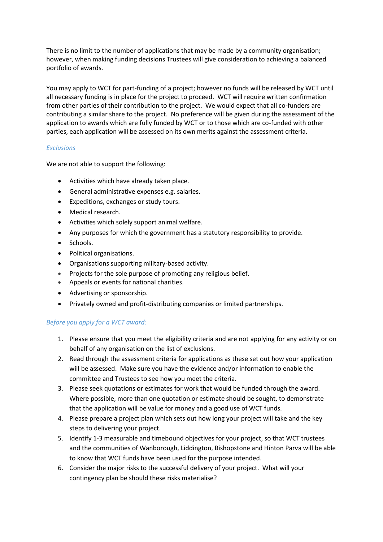There is no limit to the number of applications that may be made by a community organisation; however, when making funding decisions Trustees will give consideration to achieving a balanced portfolio of awards.

You may apply to WCT for part-funding of a project; however no funds will be released by WCT until all necessary funding is in place for the project to proceed. WCT will require written confirmation from other parties of their contribution to the project. We would expect that all co-funders are contributing a similar share to the project. No preference will be given during the assessment of the application to awards which are fully funded by WCT or to those which are co-funded with other parties, each application will be assessed on its own merits against the assessment criteria.

### *Exclusions*

We are not able to support the following:

- Activities which have already taken place.
- General administrative expenses e.g. salaries.
- Expeditions, exchanges or study tours.
- Medical research.
- Activities which solely support animal welfare.
- Any purposes for which the government has a statutory responsibility to provide.
- Schools.
- Political organisations.
- Organisations supporting military-based activity.
- Projects for the sole purpose of promoting any religious belief.
- Appeals or events for national charities.
- Advertising or sponsorship.
- Privately owned and profit-distributing companies or limited partnerships.

#### *Before you apply for a WCT award:*

- 1. Please ensure that you meet the eligibility criteria and are not applying for any activity or on behalf of any organisation on the list of exclusions.
- 2. Read through the assessment criteria for applications as these set out how your application will be assessed. Make sure you have the evidence and/or information to enable the committee and Trustees to see how you meet the criteria.
- 3. Please seek quotations or estimates for work that would be funded through the award. Where possible, more than one quotation or estimate should be sought, to demonstrate that the application will be value for money and a good use of WCT funds.
- 4. Please prepare a project plan which sets out how long your project will take and the key steps to delivering your project.
- 5. Identify 1-3 measurable and timebound objectives for your project, so that WCT trustees and the communities of Wanborough, Liddington, Bishopstone and Hinton Parva will be able to know that WCT funds have been used for the purpose intended.
- 6. Consider the major risks to the successful delivery of your project. What will your contingency plan be should these risks materialise?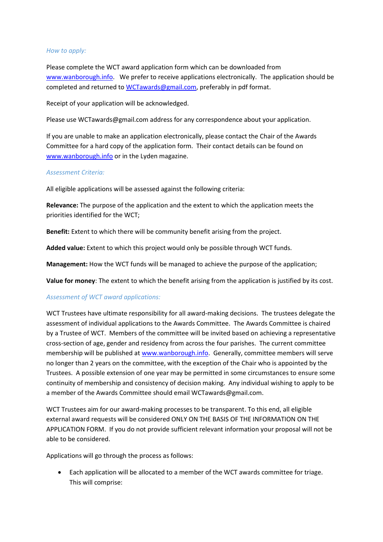#### *How to apply:*

Please complete the WCT award application form which can be downloaded from [www.wanborough.info.](http://www.wanborough.info/) We prefer to receive applications electronically. The application should be completed and returned to [WCTawards@gmail.com,](mailto:WCTawards@gmail.com) preferably in pdf format.

Receipt of your application will be acknowledged.

Please use WCTawards@gmail.com address for any correspondence about your application.

If you are unable to make an application electronically, please contact the Chair of the Awards Committee for a hard copy of the application form. Their contact details can be found on [www.wanborough.info](http://www.wanborough.info/) or in the Lyden magazine.

#### *Assessment Criteria:*

All eligible applications will be assessed against the following criteria:

**Relevance:** The purpose of the application and the extent to which the application meets the priorities identified for the WCT;

**Benefit:** Extent to which there will be community benefit arising from the project.

**Added value:** Extent to which this project would only be possible through WCT funds.

**Management:** How the WCT funds will be managed to achieve the purpose of the application;

**Value for money**: The extent to which the benefit arising from the application is justified by its cost.

#### *Assessment of WCT award applications:*

WCT Trustees have ultimate responsibility for all award-making decisions. The trustees delegate the assessment of individual applications to the Awards Committee. The Awards Committee is chaired by a Trustee of WCT. Members of the committee will be invited based on achieving a representative cross-section of age, gender and residency from across the four parishes. The current committee membership will be published at [www.wanborough.info.](http://www.wanborough.info/) Generally, committee members will serve no longer than 2 years on the committee, with the exception of the Chair who is appointed by the Trustees. A possible extension of one year may be permitted in some circumstances to ensure some continuity of membership and consistency of decision making. Any individual wishing to apply to be a member of the Awards Committee should email WCTawards@gmail.com.

WCT Trustees aim for our award-making processes to be transparent. To this end, all eligible external award requests will be considered ONLY ON THE BASIS OF THE INFORMATION ON THE APPLICATION FORM. If you do not provide sufficient relevant information your proposal will not be able to be considered.

Applications will go through the process as follows:

• Each application will be allocated to a member of the WCT awards committee for triage. This will comprise: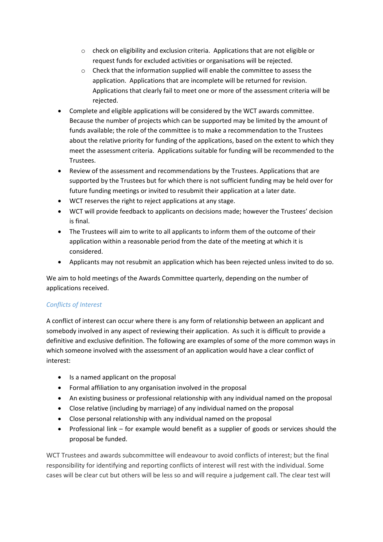- o check on eligibility and exclusion criteria. Applications that are not eligible or request funds for excluded activities or organisations will be rejected.
- o Check that the information supplied will enable the committee to assess the application. Applications that are incomplete will be returned for revision. Applications that clearly fail to meet one or more of the assessment criteria will be rejected.
- Complete and eligible applications will be considered by the WCT awards committee. Because the number of projects which can be supported may be limited by the amount of funds available; the role of the committee is to make a recommendation to the Trustees about the relative priority for funding of the applications, based on the extent to which they meet the assessment criteria. Applications suitable for funding will be recommended to the Trustees.
- Review of the assessment and recommendations by the Trustees. Applications that are supported by the Trustees but for which there is not sufficient funding may be held over for future funding meetings or invited to resubmit their application at a later date.
- WCT reserves the right to reject applications at any stage.
- WCT will provide feedback to applicants on decisions made; however the Trustees' decision is final.
- The Trustees will aim to write to all applicants to inform them of the outcome of their application within a reasonable period from the date of the meeting at which it is considered.
- Applicants may not resubmit an application which has been rejected unless invited to do so.

We aim to hold meetings of the Awards Committee quarterly, depending on the number of applications received.

# *Conflicts of Interest*

A conflict of interest can occur where there is any form of relationship between an applicant and somebody involved in any aspect of reviewing their application. As such it is difficult to provide a definitive and exclusive definition. The following are examples of some of the more common ways in which someone involved with the assessment of an application would have a clear conflict of interest:

- Is a named applicant on the proposal
- Formal affiliation to any organisation involved in the proposal
- An existing business or professional relationship with any individual named on the proposal
- Close relative (including by marriage) of any individual named on the proposal
- Close personal relationship with any individual named on the proposal
- Professional link for example would benefit as a supplier of goods or services should the proposal be funded.

WCT Trustees and awards subcommittee will endeavour to avoid conflicts of interest; but the final responsibility for identifying and reporting conflicts of interest will rest with the individual. Some cases will be clear cut but others will be less so and will require a judgement call. The clear test will